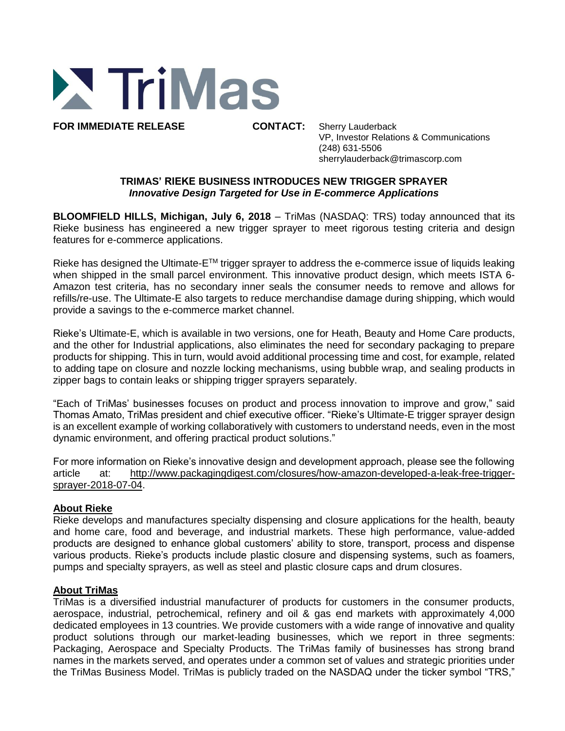

**FOR IMMEDIATE RELEASE CONTACT:** Sherry Lauderback

VP, Investor Relations & Communications (248) 631-5506 sherrylauderback@trimascorp.com

## **TRIMAS' RIEKE BUSINESS INTRODUCES NEW TRIGGER SPRAYER** *Innovative Design Targeted for Use in E-commerce Applications*

**BLOOMFIELD HILLS, Michigan, July 6, 2018** – TriMas (NASDAQ: TRS) today announced that its Rieke business has engineered a new trigger sprayer to meet rigorous testing criteria and design features for e-commerce applications.

Rieke has designed the Ultimate-E™ trigger sprayer to address the e-commerce issue of liquids leaking when shipped in the small parcel environment. This innovative product design, which meets ISTA 6-Amazon test criteria, has no secondary inner seals the consumer needs to remove and allows for refills/re-use. The Ultimate-E also targets to reduce merchandise damage during shipping, which would provide a savings to the e-commerce market channel.

Rieke's Ultimate-E, which is available in two versions, one for Heath, Beauty and Home Care products, and the other for Industrial applications, also eliminates the need for secondary packaging to prepare products for shipping. This in turn, would avoid additional processing time and cost, for example, related to adding tape on closure and nozzle locking mechanisms, using bubble wrap, and sealing products in zipper bags to contain leaks or shipping trigger sprayers separately.

"Each of TriMas' businesses focuses on product and process innovation to improve and grow," said Thomas Amato, TriMas president and chief executive officer. "Rieke's Ultimate-E trigger sprayer design is an excellent example of working collaboratively with customers to understand needs, even in the most dynamic environment, and offering practical product solutions."

For more information on Rieke's innovative design and development approach, please see the following article at: [http://www.packagingdigest.com/closures/how-amazon-developed-a-leak-free-trigger](https://na01.safelinks.protection.outlook.com/?url=http%3A%2F%2Fwww.packagingdigest.com%2Fclosures%2Fhow-amazon-developed-a-leak-free-trigger-sprayer-2018-07-04&data=02%7C01%7CSherryLauderback%40trimascorp.com%7C78c798a0d5b84107e75d08d5e273d4bf%7C2830a96f807a4ef193faa76fbbef94e0%7C1%7C0%7C636663909500284154&sdata=rHHRZTued6itTbGB3ndp8xs%2FLp1aS7Aeb8WQq%2BQvS0M%3D&reserved=0)[sprayer-2018-07-04.](https://na01.safelinks.protection.outlook.com/?url=http%3A%2F%2Fwww.packagingdigest.com%2Fclosures%2Fhow-amazon-developed-a-leak-free-trigger-sprayer-2018-07-04&data=02%7C01%7CSherryLauderback%40trimascorp.com%7C78c798a0d5b84107e75d08d5e273d4bf%7C2830a96f807a4ef193faa76fbbef94e0%7C1%7C0%7C636663909500284154&sdata=rHHRZTued6itTbGB3ndp8xs%2FLp1aS7Aeb8WQq%2BQvS0M%3D&reserved=0)

## **About Rieke**

Rieke develops and manufactures specialty dispensing and closure applications for the health, beauty and home care, food and beverage, and industrial markets. These high performance, value-added products are designed to enhance global customers' ability to store, transport, process and dispense various products. Rieke's products include plastic closure and dispensing systems, such as foamers, pumps and specialty sprayers, as well as steel and plastic closure caps and drum closures.

## **About TriMas**

TriMas is a diversified industrial manufacturer of products for customers in the consumer products, aerospace, industrial, petrochemical, refinery and oil & gas end markets with approximately 4,000 dedicated employees in 13 countries. We provide customers with a wide range of innovative and quality product solutions through our market-leading businesses, which we report in three segments: Packaging, Aerospace and Specialty Products. The TriMas family of businesses has strong brand names in the markets served, and operates under a common set of values and strategic priorities under the TriMas Business Model. TriMas is publicly traded on the NASDAQ under the ticker symbol "TRS,"